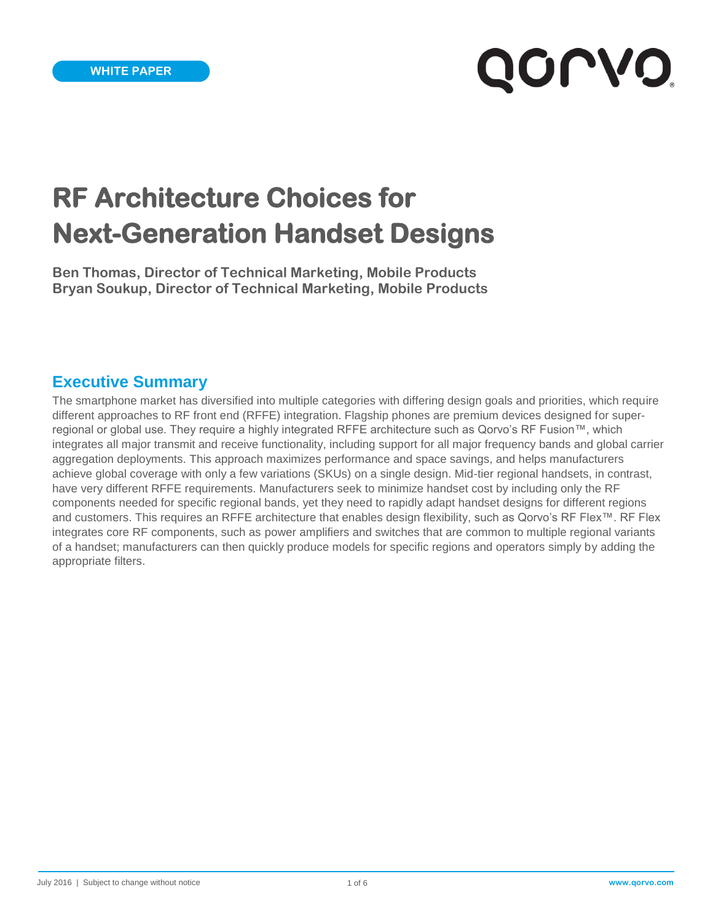# **QOLAQ**

## **RF Architecture Choices for Next-Generation Handset Designs**

**Ben Thomas, Director of Technical Marketing, Mobile Products Bryan Soukup, Director of Technical Marketing, Mobile Products**

#### **Executive Summary**

The smartphone market has diversified into multiple categories with differing design goals and priorities, which require different approaches to RF front end (RFFE) integration. Flagship phones are premium devices designed for superregional or global use. They require a highly integrated RFFE architecture such as Qorvo's RF Fusion™, which integrates all major transmit and receive functionality, including support for all major frequency bands and global carrier aggregation deployments. This approach maximizes performance and space savings, and helps manufacturers achieve global coverage with only a few variations (SKUs) on a single design. Mid-tier regional handsets, in contrast, have very different RFFE requirements. Manufacturers seek to minimize handset cost by including only the RF components needed for specific regional bands, yet they need to rapidly adapt handset designs for different regions and customers. This requires an RFFE architecture that enables design flexibility, such as Qorvo's RF Flex™. RF Flex integrates core RF components, such as power amplifiers and switches that are common to multiple regional variants of a handset; manufacturers can then quickly produce models for specific regions and operators simply by adding the appropriate filters.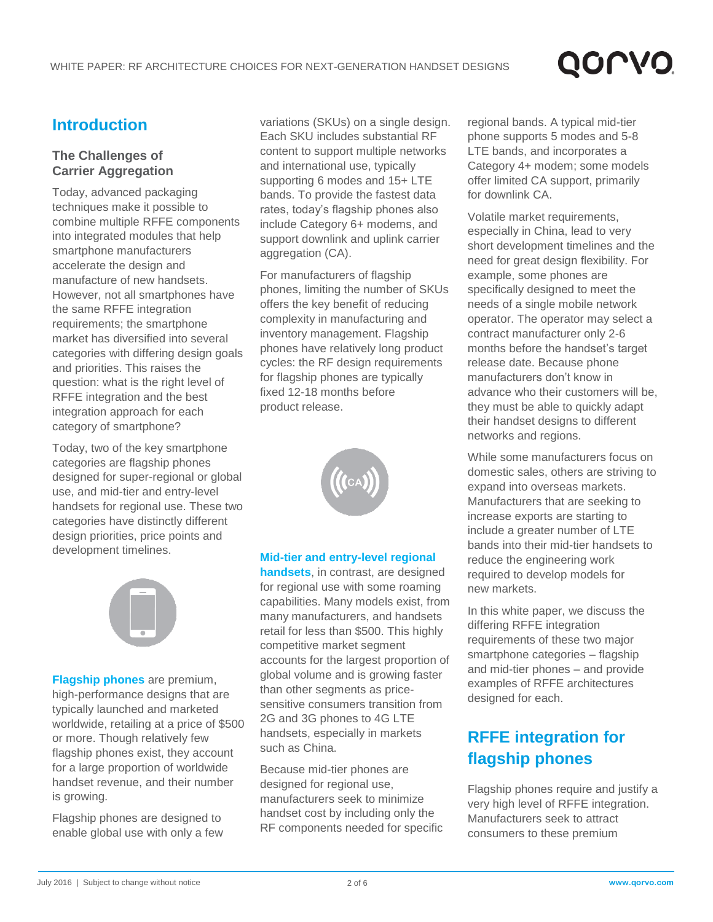# QOLVO

## **Introduction**

#### **The Challenges of Carrier Aggregation**

Today, advanced packaging techniques make it possible to combine multiple RFFE components into integrated modules that help smartphone manufacturers accelerate the design and manufacture of new handsets. However, not all smartphones have the same RFFE integration requirements; the smartphone market has diversified into several categories with differing design goals and priorities. This raises the question: what is the right level of RFFE integration and the best integration approach for each category of smartphone?

Today, two of the key smartphone categories are flagship phones designed for super-regional or global use, and mid-tier and entry-level handsets for regional use. These two categories have distinctly different design priorities, price points and development timelines.



**Flagship phones** are premium, high-performance designs that are typically launched and marketed worldwide, retailing at a price of \$500 or more. Though relatively few flagship phones exist, they account for a large proportion of worldwide handset revenue, and their number is growing.

Flagship phones are designed to enable global use with only a few variations (SKUs) on a single design. Each SKU includes substantial RF content to support multiple networks and international use, typically supporting 6 modes and 15+ LTE bands. To provide the fastest data rates, today's flagship phones also include Category 6+ modems, and support downlink and uplink carrier aggregation (CA).

For manufacturers of flagship phones, limiting the number of SKUs offers the key benefit of reducing complexity in manufacturing and inventory management. Flagship phones have relatively long product cycles: the RF design requirements for flagship phones are typically fixed 12-18 months before product release.



#### **Mid-tier and entry-level regional**

**handsets**, in contrast, are designed for regional use with some roaming capabilities. Many models exist, from many manufacturers, and handsets retail for less than \$500. This highly competitive market segment accounts for the largest proportion of global volume and is growing faster than other segments as pricesensitive consumers transition from 2G and 3G phones to 4G LTE handsets, especially in markets such as China.

Because mid-tier phones are designed for regional use, manufacturers seek to minimize handset cost by including only the RF components needed for specific

regional bands. A typical mid-tier phone supports 5 modes and 5-8 LTE bands, and incorporates a Category 4+ modem; some models offer limited CA support, primarily for downlink CA.

Volatile market requirements, especially in China, lead to very short development timelines and the need for great design flexibility. For example, some phones are specifically designed to meet the needs of a single mobile network operator. The operator may select a contract manufacturer only 2-6 months before the handset's target release date. Because phone manufacturers don't know in advance who their customers will be, they must be able to quickly adapt their handset designs to different networks and regions.

While some manufacturers focus on domestic sales, others are striving to expand into overseas markets. Manufacturers that are seeking to increase exports are starting to include a greater number of LTE bands into their mid-tier handsets to reduce the engineering work required to develop models for new markets.

In this white paper, we discuss the differing RFFE integration requirements of these two major smartphone categories – flagship and mid-tier phones – and provide examples of RFFE architectures designed for each.

## **RFFE integration for flagship phones**

Flagship phones require and justify a very high level of RFFE integration. Manufacturers seek to attract consumers to these premium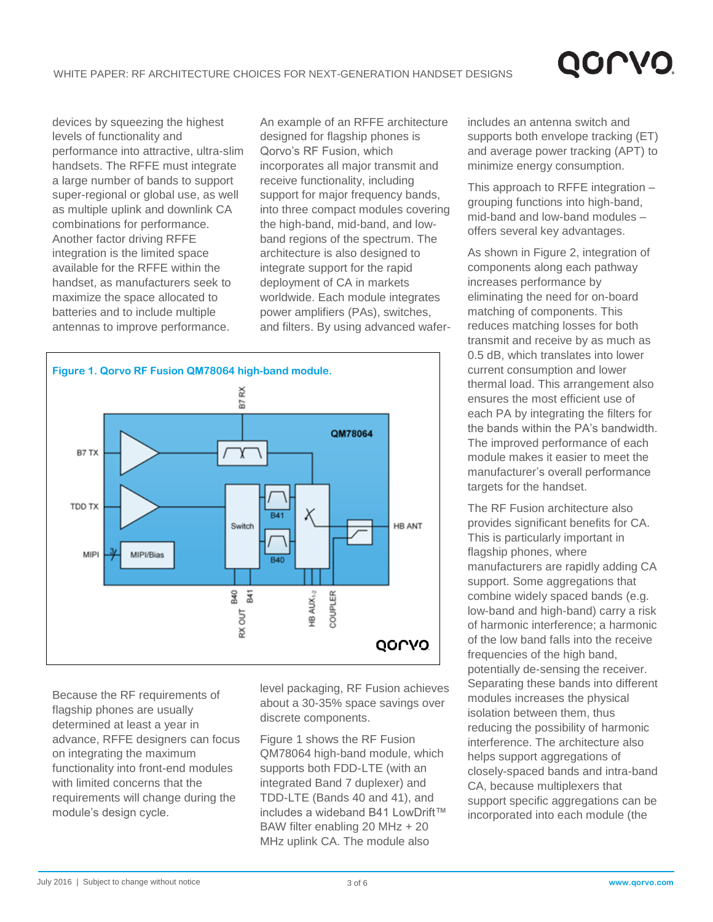## QOLVC

devices by squeezing the highest levels of functionality and performance into attractive, ultra-slim handsets. The RFFE must integrate a large number of bands to support super-regional or global use, as well as multiple uplink and downlink CA combinations for performance. Another factor driving RFFE integration is the limited space available for the RFFE within the handset, as manufacturers seek to maximize the space allocated to batteries and to include multiple antennas to improve performance.

An example of an RFFE architecture designed for flagship phones is Qorvo's RF Fusion, which incorporates all major transmit and receive functionality, including support for major frequency bands, into three compact modules covering the high-band, mid-band, and lowband regions of the spectrum. The architecture is also designed to integrate support for the rapid deployment of CA in markets worldwide. Each module integrates power amplifiers (PAs), switches, and filters. By using advanced wafer-



Because the RF requirements of flagship phones are usually determined at least a year in advance, RFFE designers can focus on integrating the maximum functionality into front-end modules with limited concerns that the requirements will change during the module's design cycle.

level packaging, RF Fusion achieves about a 30-35% space savings over discrete components.

Figure 1 shows the RF Fusion QM78064 high-band module, which supports both FDD-LTE (with an integrated Band 7 duplexer) and TDD-LTE (Bands 40 and 41), and includes a wideband B41 LowDrift™ BAW filter enabling 20 MHz + 20 MHz uplink CA. The module also

includes an antenna switch and supports both envelope tracking (ET) and average power tracking (APT) to minimize energy consumption.

This approach to RFFE integration – grouping functions into high-band, mid-band and low-band modules – offers several key advantages.

As shown in Figure 2, integration of components along each pathway increases performance by eliminating the need for on-board matching of components. This reduces matching losses for both transmit and receive by as much as 0.5 dB, which translates into lower current consumption and lower thermal load. This arrangement also ensures the most efficient use of each PA by integrating the filters for the bands within the PA's bandwidth. The improved performance of each module makes it easier to meet the manufacturer's overall performance targets for the handset.

The RF Fusion architecture also provides significant benefits for CA. This is particularly important in flagship phones, where manufacturers are rapidly adding CA support. Some aggregations that combine widely spaced bands (e.g. low-band and high-band) carry a risk of harmonic interference; a harmonic of the low band falls into the receive frequencies of the high band, potentially de-sensing the receiver. Separating these bands into different modules increases the physical isolation between them, thus reducing the possibility of harmonic interference. The architecture also helps support aggregations of closely-spaced bands and intra-band CA, because multiplexers that support specific aggregations can be incorporated into each module (the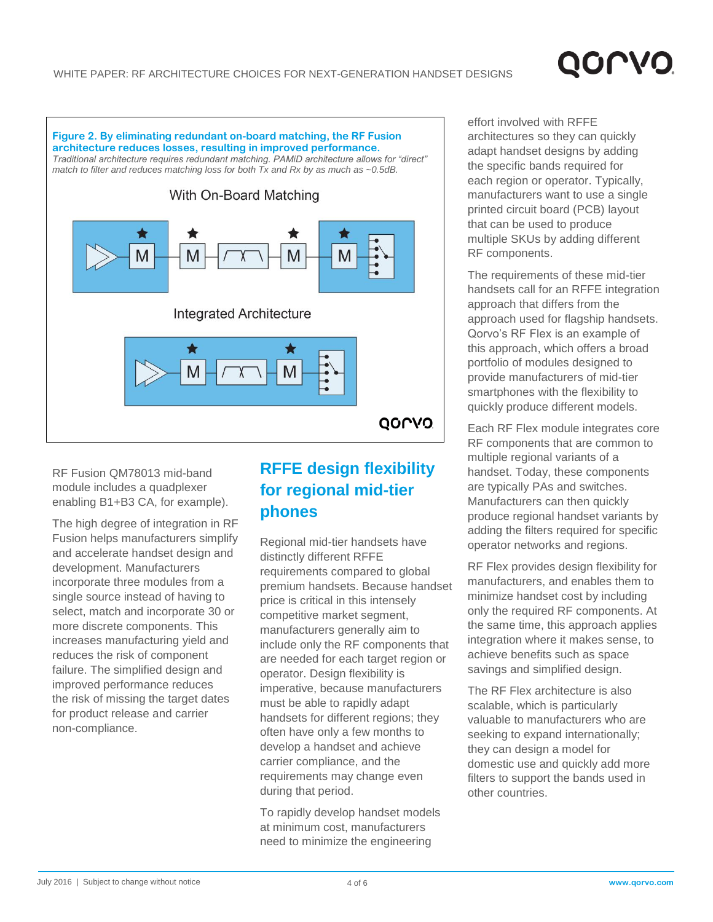

RF Fusion QM78013 mid-band module includes a quadplexer enabling B1+B3 CA, for example).

The high degree of integration in RF Fusion helps manufacturers simplify and accelerate handset design and development. Manufacturers incorporate three modules from a single source instead of having to select, match and incorporate 30 or more discrete components. This increases manufacturing yield and reduces the risk of component failure. The simplified design and improved performance reduces the risk of missing the target dates for product release and carrier non-compliance.

## **RFFE design flexibility for regional mid-tier phones**

Regional mid-tier handsets have distinctly different RFFE requirements compared to global premium handsets. Because handset price is critical in this intensely competitive market segment, manufacturers generally aim to include only the RF components that are needed for each target region or operator. Design flexibility is imperative, because manufacturers must be able to rapidly adapt handsets for different regions; they often have only a few months to develop a handset and achieve carrier compliance, and the requirements may change even during that period.

To rapidly develop handset models at minimum cost, manufacturers need to minimize the engineering

effort involved with RFFE architectures so they can quickly adapt handset designs by adding the specific bands required for each region or operator. Typically, manufacturers want to use a single printed circuit board (PCB) layout that can be used to produce multiple SKUs by adding different RF components.

**QOLVI** 

The requirements of these mid-tier handsets call for an RFFE integration approach that differs from the approach used for flagship handsets. Qorvo's RF Flex is an example of this approach, which offers a broad portfolio of modules designed to provide manufacturers of mid-tier smartphones with the flexibility to quickly produce different models.

Each RF Flex module integrates core RF components that are common to multiple regional variants of a handset. Today, these components are typically PAs and switches. Manufacturers can then quickly produce regional handset variants by adding the filters required for specific operator networks and regions.

RF Flex provides design flexibility for manufacturers, and enables them to minimize handset cost by including only the required RF components. At the same time, this approach applies integration where it makes sense, to achieve benefits such as space savings and simplified design.

The RF Flex architecture is also scalable, which is particularly valuable to manufacturers who are seeking to expand internationally; they can design a model for domestic use and quickly add more filters to support the bands used in other countries.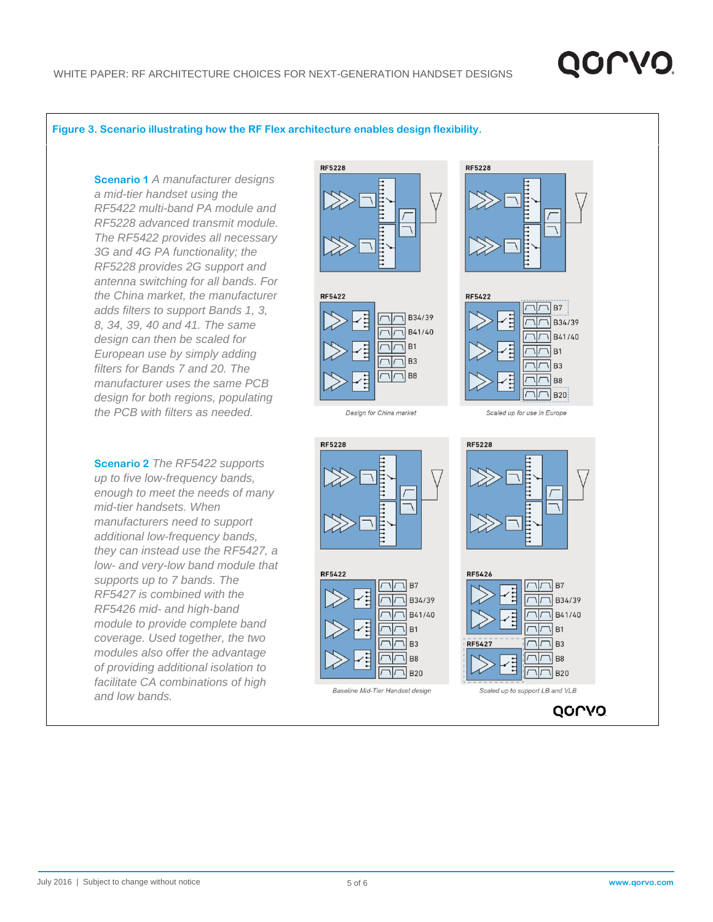# QOLV

#### **Figure 3. Scenario illustrating how the RF Flex architecture enables design flexibility.**

**Scenario 1** *A manufacturer designs a mid-tier handset using the RF5422 multi-band PA module and RF5228 advanced transmit module. The RF5422 provides all necessary 3G and 4G PA functionality; the RF5228 provides 2G support and antenna switching for all bands. For the China market, the manufacturer adds filters to support Bands 1, 3, 8, 34, 39, 40 and 41. The same design can then be scaled for European use by simply adding filters for Bands 7 and 20. The manufacturer uses the same PCB design for both regions, populating the PCB with filters as needed.*

**Scenario 2** *The RF5422 supports up to five low-frequency bands, enough to meet the needs of many mid-tier handsets. When manufacturers need to support additional low-frequency bands, they can instead use the RF5427, a low- and very-low band module that supports up to 7 bands. The RF5427 is combined with the RF5426 mid- and high-band module to provide complete band coverage. Used together, the two modules also offer the advantage of providing additional isolation to facilitate CA combinations of high and low bands.*









Scaled up for use in Europe





Baseline Mid-Tier Handset design

**RF5228**